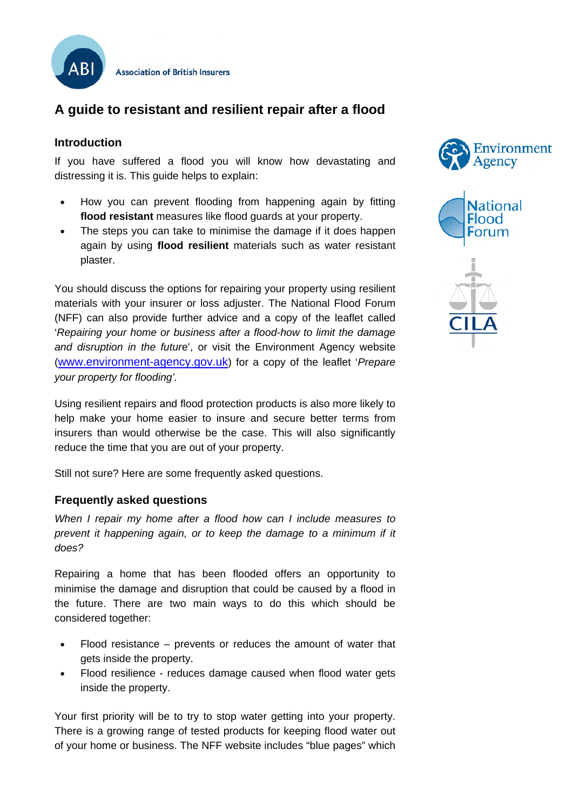

**Association of British Insurers** 

# **A guide to resistant and resilient repair after a flood**

### **Introduction**

If you have suffered a flood you will know how devastating and distressing it is. This guide helps to explain:

- How you can prevent flooding from happening again by fitting **flood resistant** measures like flood guards at your property.
- The steps you can take to minimise the damage if it does happen again by using **flood resilient** materials such as water resistant plaster.

You should discuss the options for repairing your property using resilient materials with your insurer or loss adjuster. The National Flood Forum (NFF) can also provide further advice and a copy of the leaflet called '*Repairing your home or business after a flood-how to limit the damage and disruption in the futur*e', or visit the Environment Agency website [\(www.environment-agency.gov.uk](http://www.environment-agency.gov.uk/)) for a copy of the leaflet '*Prepare your property for flooding'.*

Using resilient repairs and flood protection products is also more likely to help make your home easier to insure and secure better terms from insurers than would otherwise be the case. This will also significantly reduce the time that you are out of your property.

Still not sure? Here are some frequently asked questions.

### **Frequently asked questions**

*When I repair my home after a flood how can I include measures to prevent it happening again, or to keep the damage to a minimum if it does?* 

Repairing a home that has been flooded offers an opportunity to minimise the damage and disruption that could be caused by a flood in the future. There are two main ways to do this which should be considered together:

- Flood resistance prevents or reduces the amount of water that gets inside the property.
- Flood resilience reduces damage caused when flood water gets inside the property.

Your first priority will be to try to stop water getting into your property. There is a growing range of tested products for keeping flood water out of your home or business. The NFF website includes "blue pages" which





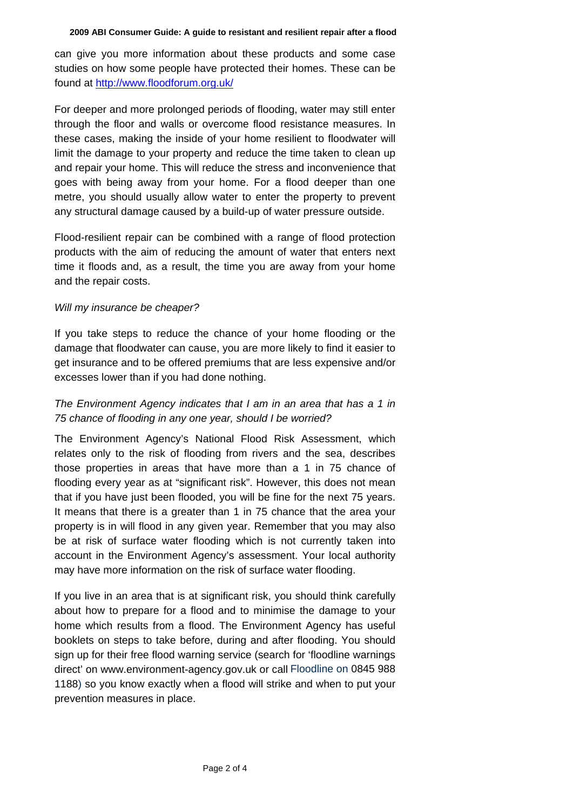can give you more information about these products and some case studies on how some people have protected their homes. These can be found at <http://www.floodforum.org.uk/>

For deeper and more prolonged periods of flooding, water may still enter through the floor and walls or overcome flood resistance measures. In these cases, making the inside of your home resilient to floodwater will limit the damage to your property and reduce the time taken to clean up and repair your home. This will reduce the stress and inconvenience that goes with being away from your home. For a flood deeper than one metre, you should usually allow water to enter the property to prevent any structural damage caused by a build-up of water pressure outside.

Flood-resilient repair can be combined with a range of flood protection products with the aim of reducing the amount of water that enters next time it floods and, as a result, the time you are away from your home and the repair costs.

#### *Will my insurance be cheaper?*

If you take steps to reduce the chance of your home flooding or the damage that floodwater can cause, you are more likely to find it easier to get insurance and to be offered premiums that are less expensive and/or excesses lower than if you had done nothing.

### *The Environment Agency indicates that I am in an area that has a 1 in 75 chance of flooding in any one year, should I be worried?*

The Environment Agency's National Flood Risk Assessment, which relates only to the risk of flooding from rivers and the sea, describes those properties in areas that have more than a 1 in 75 chance of flooding every year as at "significant risk". However, this does not mean that if you have just been flooded, you will be fine for the next 75 years. It means that there is a greater than 1 in 75 chance that the area your property is in will flood in any given year. Remember that you may also be at risk of surface water flooding which is not currently taken into account in the Environment Agency's assessment. Your local authority may have more information on the risk of surface water flooding.

If you live in an area that is at significant risk, you should think carefully about how to prepare for a flood and to minimise the damage to your home which results from a flood. The Environment Agency has useful booklets on steps to take before, during and after flooding. You should sign up for their free flood warning service (search for 'floodline warnings direct' on www.environment-agency.gov.uk or call Floodline on 0845 988 1188) so you know exactly when a flood will strike and when to put your prevention measures in place.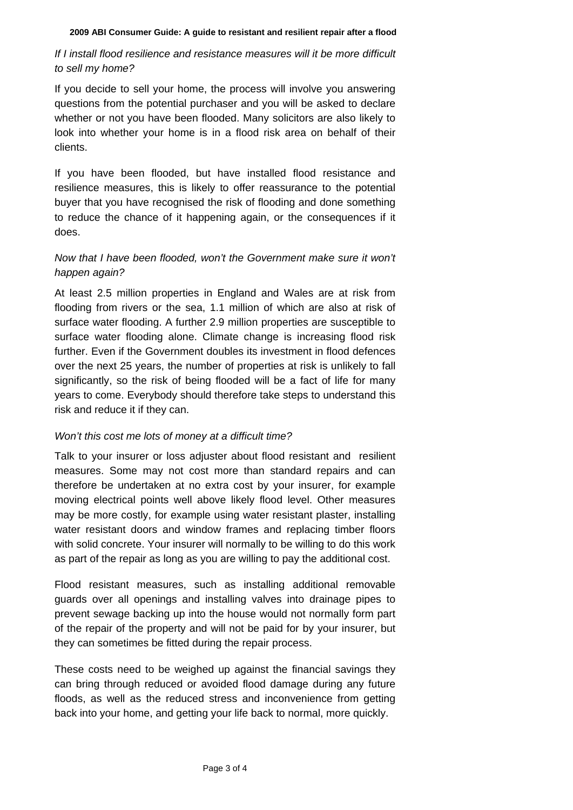# *If I install flood resilience and resistance measures will it be more difficult to sell my home?*

If you decide to sell your home, the process will involve you answering questions from the potential purchaser and you will be asked to declare whether or not you have been flooded. Many solicitors are also likely to look into whether your home is in a flood risk area on behalf of their clients.

If you have been flooded, but have installed flood resistance and resilience measures, this is likely to offer reassurance to the potential buyer that you have recognised the risk of flooding and done something to reduce the chance of it happening again, or the consequences if it does.

# *Now that I have been flooded, won't the Government make sure it won't happen again?*

At least 2.5 million properties in England and Wales are at risk from flooding from rivers or the sea, 1.1 million of which are also at risk of surface water flooding. A further 2.9 million properties are susceptible to surface water flooding alone. Climate change is increasing flood risk further. Even if the Government doubles its investment in flood defences over the next 25 years, the number of properties at risk is unlikely to fall significantly, so the risk of being flooded will be a fact of life for many years to come. Everybody should therefore take steps to understand this risk and reduce it if they can.

### *Won't this cost me lots of money at a difficult time?*

Talk to your insurer or loss adjuster about flood resistant and resilient measures. Some may not cost more than standard repairs and can therefore be undertaken at no extra cost by your insurer, for example moving electrical points well above likely flood level. Other measures may be more costly, for example using water resistant plaster, installing water resistant doors and window frames and replacing timber floors with solid concrete. Your insurer will normally to be willing to do this work as part of the repair as long as you are willing to pay the additional cost.

Flood resistant measures, such as installing additional removable guards over all openings and installing valves into drainage pipes to prevent sewage backing up into the house would not normally form part of the repair of the property and will not be paid for by your insurer, but they can sometimes be fitted during the repair process.

These costs need to be weighed up against the financial savings they can bring through reduced or avoided flood damage during any future floods, as well as the reduced stress and inconvenience from getting back into your home, and getting your life back to normal, more quickly.